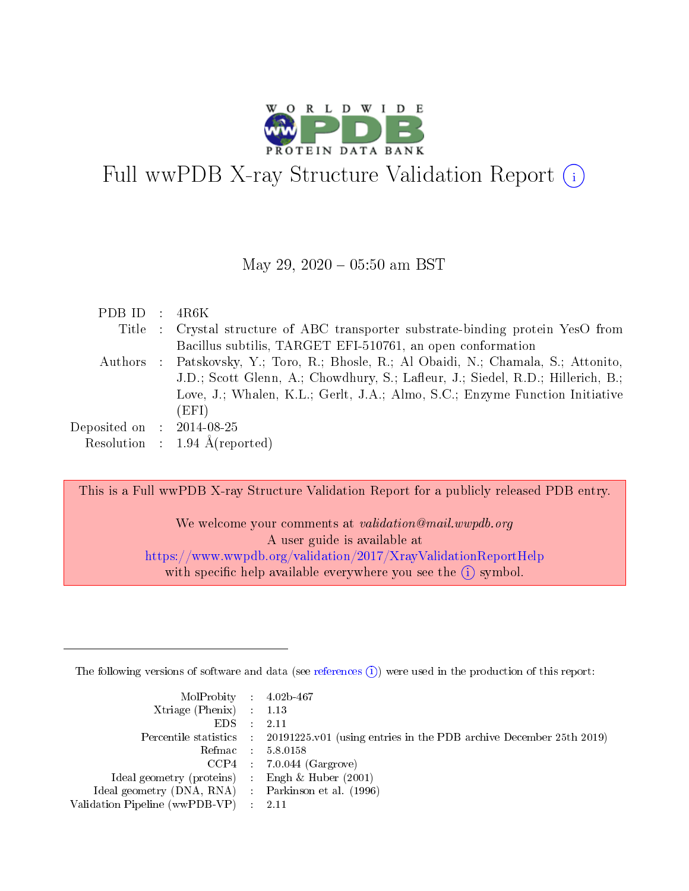

# Full wwPDB X-ray Structure Validation Report (i)

#### May 29,  $2020 - 05:50$  am BST

| PDB ID : $4R6K$             |                                                                                       |
|-----------------------------|---------------------------------------------------------------------------------------|
|                             | Title : Crystal structure of ABC transporter substrate-binding protein YesO from      |
|                             | Bacillus subtilis, TARGET EFI-510761, an open conformation                            |
|                             | Authors : Patskovsky, Y.; Toro, R.; Bhosle, R.; Al Obaidi, N.; Chamala, S.; Attonito, |
|                             | J.D.; Scott Glenn, A.; Chowdhury, S.; Lafleur, J.; Siedel, R.D.; Hillerich, B.;       |
|                             | Love, J.; Whalen, K.L.; Gerlt, J.A.; Almo, S.C.; Enzyme Function Initiative           |
|                             | (EFI)                                                                                 |
| Deposited on : $2014-08-25$ |                                                                                       |
|                             | Resolution : $1.94 \text{ Å}$ (reported)                                              |

This is a Full wwPDB X-ray Structure Validation Report for a publicly released PDB entry.

We welcome your comments at validation@mail.wwpdb.org A user guide is available at <https://www.wwpdb.org/validation/2017/XrayValidationReportHelp> with specific help available everywhere you see the  $(i)$  symbol.

The following versions of software and data (see [references](https://www.wwpdb.org/validation/2017/XrayValidationReportHelp#references)  $(i)$ ) were used in the production of this report:

| $MolProbability$ 4.02b-467                          |                                                                                            |
|-----------------------------------------------------|--------------------------------------------------------------------------------------------|
| Xtriage (Phenix) $: 1.13$                           |                                                                                            |
| EDS -                                               | -2.11                                                                                      |
|                                                     | Percentile statistics : 20191225.v01 (using entries in the PDB archive December 25th 2019) |
|                                                     | Refmac 58.0158                                                                             |
|                                                     | $CCP4$ : 7.0.044 (Gargrove)                                                                |
| Ideal geometry (proteins) : Engh $\&$ Huber (2001)  |                                                                                            |
| Ideal geometry (DNA, RNA) : Parkinson et al. (1996) |                                                                                            |
| Validation Pipeline (wwPDB-VP) :                    | -2.11                                                                                      |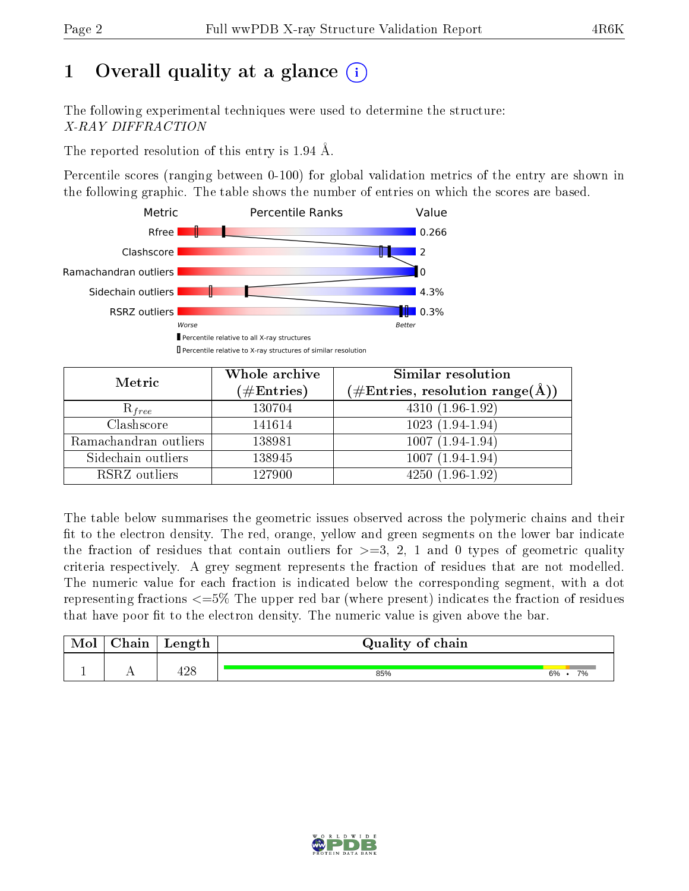# 1 [O](https://www.wwpdb.org/validation/2017/XrayValidationReportHelp#overall_quality)verall quality at a glance  $(i)$

The following experimental techniques were used to determine the structure: X-RAY DIFFRACTION

The reported resolution of this entry is 1.94 Å.

Percentile scores (ranging between 0-100) for global validation metrics of the entry are shown in the following graphic. The table shows the number of entries on which the scores are based.



| Metric                | Whole archive<br>$(\#\mathrm{Entries})$ | Similar resolution<br>$(\#\text{Entries},\,\text{resolution}\,\,\text{range}(\textup{\AA}))$ |
|-----------------------|-----------------------------------------|----------------------------------------------------------------------------------------------|
| $R_{free}$            | 130704                                  | $4310(1.96-1.92)$                                                                            |
| Clashscore            | 141614                                  | $1023(1.94-1.94)$                                                                            |
| Ramachandran outliers | 138981                                  | $1007(1.94-1.94)$                                                                            |
| Sidechain outliers    | 138945                                  | $1007(1.94-1.94)$                                                                            |
| RSRZ outliers         | 127900                                  | $4250(1.96-1.92)$                                                                            |

The table below summarises the geometric issues observed across the polymeric chains and their fit to the electron density. The red, orange, yellow and green segments on the lower bar indicate the fraction of residues that contain outliers for  $>=3, 2, 1$  and 0 types of geometric quality criteria respectively. A grey segment represents the fraction of residues that are not modelled. The numeric value for each fraction is indicated below the corresponding segment, with a dot representing fractions <=5% The upper red bar (where present) indicates the fraction of residues that have poor fit to the electron density. The numeric value is given above the bar.

| Mol           | nain | Length | Quality of chain |          |
|---------------|------|--------|------------------|----------|
| <u>. на п</u> | . .  | ع ڪ    | 85%              | 7%<br>6% |

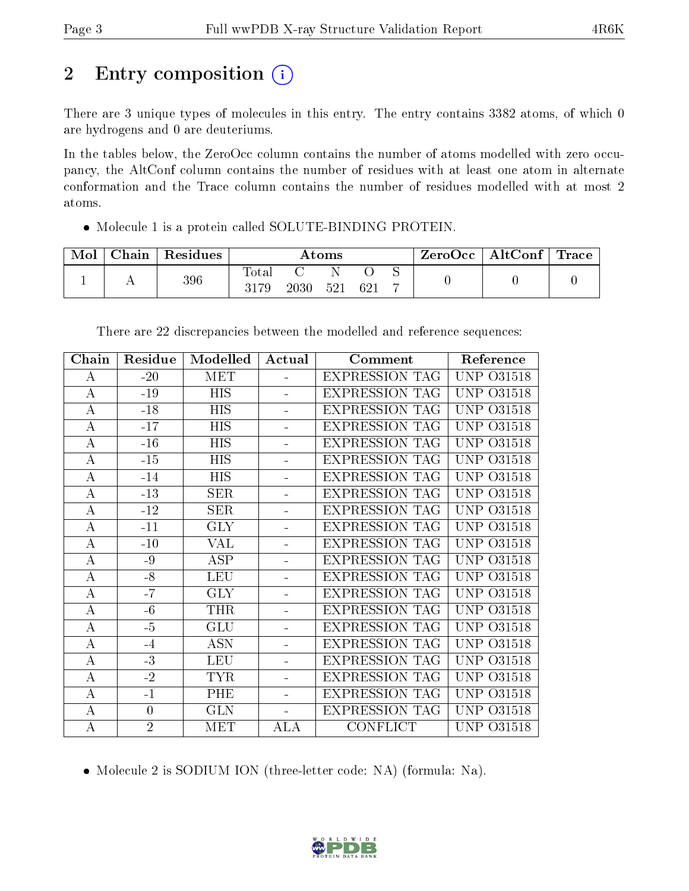## 2 Entry composition (i)

There are 3 unique types of molecules in this entry. The entry contains 3382 atoms, of which 0 are hydrogens and 0 are deuteriums.

In the tables below, the ZeroOcc column contains the number of atoms modelled with zero occupancy, the AltConf column contains the number of residues with at least one atom in alternate conformation and the Trace column contains the number of residues modelled with at most 2 atoms.

Molecule 1 is a protein called SOLUTE-BINDING PROTEIN.

| Mol | Chain | $^{\shortmid}$ Residues | Atoms         |      |     | $\text{ZeroOcc} \mid \text{AltConf} \mid \text{Trace}$ |  |  |  |
|-----|-------|-------------------------|---------------|------|-----|--------------------------------------------------------|--|--|--|
|     |       | 396                     | Total<br>3179 | 2030 | 521 |                                                        |  |  |  |

| ${\bf Chain}$    | Residue        | Modelled   | Actual                   | Comment               | Reference         |
|------------------|----------------|------------|--------------------------|-----------------------|-------------------|
| $\bf{A}$         | $-20$          | <b>MET</b> | $\overline{\phantom{0}}$ | <b>EXPRESSION TAG</b> | UNP<br>O31518     |
| $\bf{A}$         | $-19$          | <b>HIS</b> | ÷.                       | <b>EXPRESSION TAG</b> | UNP<br>O31518     |
| $\bf{A}$         | $-18$          | <b>HIS</b> | ÷,                       | <b>EXPRESSION TAG</b> | UNP<br>O31518     |
| $\boldsymbol{A}$ | $-17$          | <b>HIS</b> | $\equiv$                 | <b>EXPRESSION TAG</b> | UNP.<br>O31518    |
| $\bf{A}$         | $-16$          | <b>HIS</b> | Ξ.                       | <b>EXPRESSION TAG</b> | UNP<br>O31518     |
| $\bf{A}$         | $-15$          | <b>HIS</b> | ÷                        | <b>EXPRESSION TAG</b> | UNP<br>O31518     |
| $\bf{A}$         | $-14$          | HIS        | $\equiv$                 | <b>EXPRESSION TAG</b> | UNP<br>O31518     |
| $\bf{A}$         | $-13$          | <b>SER</b> | ÷,                       | <b>EXPRESSION TAG</b> | UNP<br>O31518     |
| $\bf{A}$         | $-12$          | <b>SER</b> | Ξ.                       | <b>EXPRESSION TAG</b> | UNP<br>O31518     |
| $\overline{A}$   | $-11$          | <b>GLY</b> | ÷,                       | <b>EXPRESSION TAG</b> | UNP<br>O31518     |
| $\bf{A}$         | $-10$          | VAL        | Ξ.                       | <b>EXPRESSION TAG</b> | UNP<br>O31518     |
| $\boldsymbol{A}$ | $-9$           | ASP        |                          | <b>EXPRESSION TAG</b> | UNP<br>031518     |
| A                | $-8$           | <b>LEU</b> |                          | <b>EXPRESSION TAG</b> | UNP<br>O31518     |
| $\bf{A}$         | $-7$           | <b>GLY</b> | Ξ.                       | <b>EXPRESSION TAG</b> | UNP<br>O31518     |
| $\bf{A}$         | $-6$           | <b>THR</b> | $\equiv$                 | <b>EXPRESSION TAG</b> | UNP<br>031518     |
| $\bf{A}$         | $-5$           | <b>GLU</b> |                          | <b>EXPRESSION TAG</b> | UNP<br>O31518     |
| A                | $-4$           | <b>ASN</b> | ÷                        | <b>EXPRESSION TAG</b> | UNP .<br>O31518   |
| $\bf{A}$         | $-3$           | <b>LEU</b> | ÷.                       | <b>EXPRESSION TAG</b> | UNP<br>O31518     |
| $\bf{A}$         | $-2$           | <b>TYR</b> | ÷                        | <b>EXPRESSION TAG</b> | UNP<br>031518     |
| А                | $-1$           | PHE        | ÷.                       | <b>EXPRESSION TAG</b> | UNP.<br>031518    |
| $\bf{A}$         | $\overline{0}$ | <b>GLN</b> | ÷                        | <b>EXPRESSION TAG</b> | UNP<br>O31518     |
| А                | $\overline{2}$ | <b>MET</b> | ALA                      | <b>CONFLICT</b>       | <b>UNP 031518</b> |

There are 22 discrepancies between the modelled and reference sequences:

• Molecule 2 is SODIUM ION (three-letter code: NA) (formula: Na).

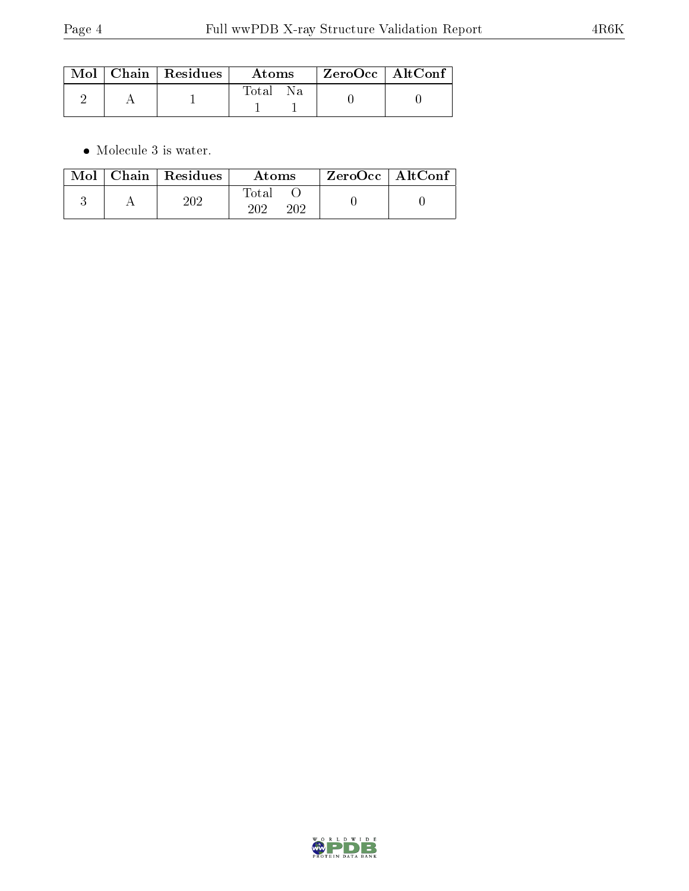|  | $\mid$ Mol $\mid$ Chain $\mid$ Residues $\mid$ | Atoms        | ZeroOcc   AltConf |  |
|--|------------------------------------------------|--------------|-------------------|--|
|  |                                                | Total<br>-Na |                   |  |

 $\bullet\,$  Molecule 3 is water.

|  | $\text{Mol}$   Chain   Residues | Atoms               | $\mid$ ZeroOcc $\mid$ AltConf $\mid$ |  |
|--|---------------------------------|---------------------|--------------------------------------|--|
|  | 202                             | Fotal<br>າດາ<br>202 |                                      |  |

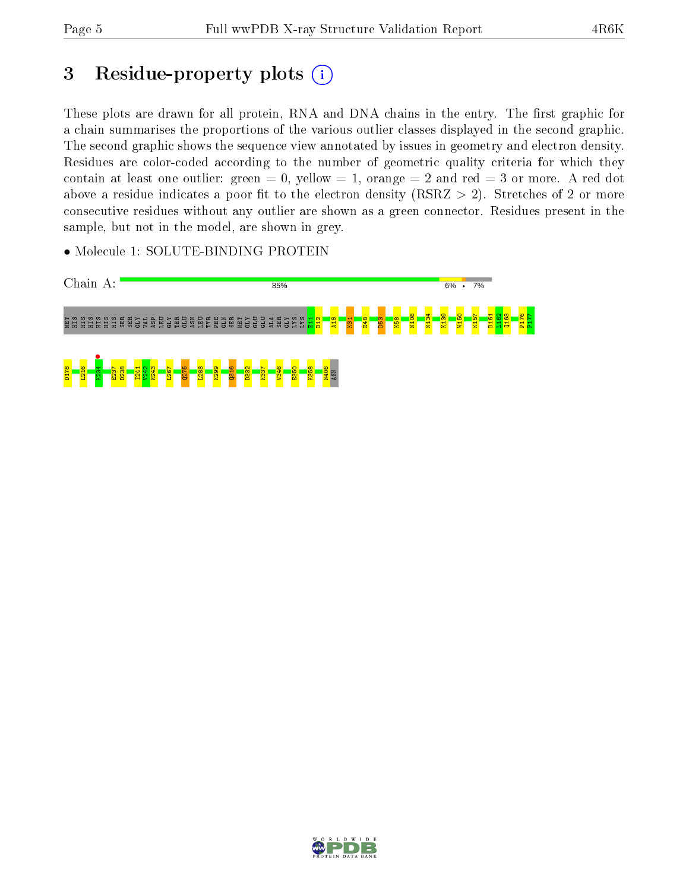## 3 Residue-property plots  $(i)$

These plots are drawn for all protein, RNA and DNA chains in the entry. The first graphic for a chain summarises the proportions of the various outlier classes displayed in the second graphic. The second graphic shows the sequence view annotated by issues in geometry and electron density. Residues are color-coded according to the number of geometric quality criteria for which they contain at least one outlier: green  $= 0$ , yellow  $= 1$ , orange  $= 2$  and red  $= 3$  or more. A red dot above a residue indicates a poor fit to the electron density (RSRZ  $> 2$ ). Stretches of 2 or more consecutive residues without any outlier are shown as a green connector. Residues present in the sample, but not in the model, are shown in grey.

• Molecule 1: SOLUTE-BINDING PROTEIN



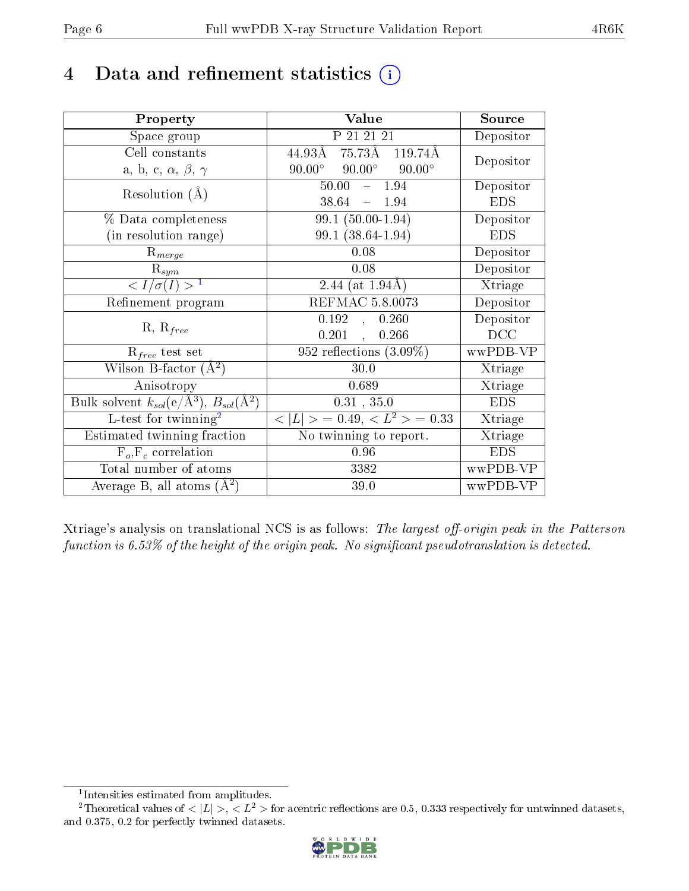## 4 Data and refinement statistics  $(i)$

| Property                                                                | Value                                            | Source     |
|-------------------------------------------------------------------------|--------------------------------------------------|------------|
| Space group                                                             | P 21 21 21                                       | Depositor  |
| Cell constants                                                          | 75.73Å<br>44.93Å<br>119.74Å                      | Depositor  |
| a, b, c, $\alpha$ , $\beta$ , $\gamma$                                  | $90.00^{\circ}$ $90.00^{\circ}$<br>$90.00^\circ$ |            |
| Resolution $(A)$                                                        | $-1.94$<br>50.00                                 | Depositor  |
|                                                                         | $38.64 - 1.94$                                   | <b>EDS</b> |
| $\%$ Data completeness                                                  | 99.1 (50.00-1.94)                                | Depositor  |
| (in resolution range)                                                   | 99.1 (38.64-1.94)                                | <b>EDS</b> |
| $R_{merge}$                                                             | 0.08                                             | Depositor  |
| $\mathrm{R}_{sym}$                                                      | 0.08                                             | Depositor  |
| $\langle I/\sigma(I) \rangle^{-1}$                                      | 2.44 (at $1.94\text{\AA}$ )                      | Xtriage    |
| Refinement program                                                      | <b>REFMAC 5.8.0073</b>                           | Depositor  |
| $R, R_{free}$                                                           | 0.192<br>0.260<br>$\overline{\mathcal{F}}$       | Depositor  |
|                                                                         | 0.201<br>0.266<br>$\mathcal{L}^{\text{max}}$     | DCC        |
| $\mathcal{R}_{free}$ test set                                           | 952 reflections $(3.09\%)$                       | wwPDB-VP   |
| Wilson B-factor $(A^2)$                                                 | 30.0                                             | Xtriage    |
| Anisotropy                                                              | 0.689                                            | Xtriage    |
| Bulk solvent $k_{sol}(\mathrm{e}/\mathrm{A}^3),\,B_{sol}(\mathrm{A}^2)$ | 0.31, 35.0                                       | <b>EDS</b> |
| L-test for twinning <sup>2</sup>                                        | $< L >$ = 0.49, $< L^2 >$ = 0.33                 | Xtriage    |
| Estimated twinning fraction                                             | No twinning to report.                           | Xtriage    |
| $F_o, F_c$ correlation                                                  | $0.96\,$                                         | <b>EDS</b> |
| Total number of atoms                                                   | 3382                                             | wwPDB-VP   |
| Average B, all atoms $(A^2)$                                            | 39.0                                             | wwPDB-VP   |

Xtriage's analysis on translational NCS is as follows: The largest off-origin peak in the Patterson function is  $6.53\%$  of the height of the origin peak. No significant pseudotranslation is detected.

<sup>&</sup>lt;sup>2</sup>Theoretical values of  $\langle |L| \rangle$ ,  $\langle L^2 \rangle$  for acentric reflections are 0.5, 0.333 respectively for untwinned datasets, and 0.375, 0.2 for perfectly twinned datasets.



<span id="page-5-1"></span><span id="page-5-0"></span><sup>1</sup> Intensities estimated from amplitudes.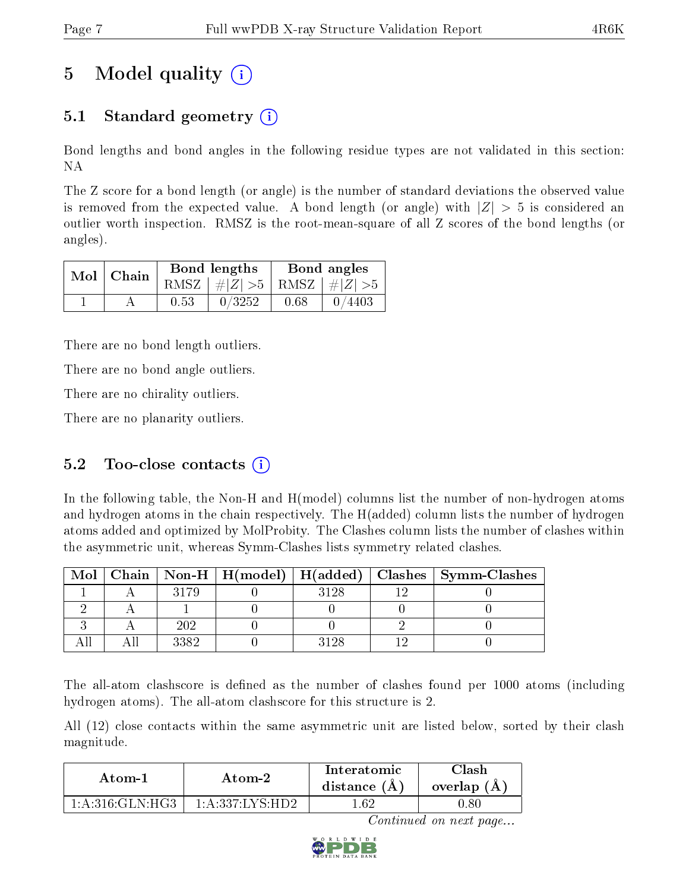## 5 Model quality  $(i)$

### 5.1 Standard geometry  $\overline{()}$

Bond lengths and bond angles in the following residue types are not validated in this section: NA

The Z score for a bond length (or angle) is the number of standard deviations the observed value is removed from the expected value. A bond length (or angle) with  $|Z| > 5$  is considered an outlier worth inspection. RMSZ is the root-mean-square of all Z scores of the bond lengths (or angles).

|  | $Mol$   Chain |      | Bond lengths                    | Bond angles |        |  |
|--|---------------|------|---------------------------------|-------------|--------|--|
|  |               |      | RMSZ $ #Z  > 5$ RMSZ $ #Z  > 5$ |             |        |  |
|  |               | 0.53 | 0/3252                          | 0.68        | 0/4403 |  |

There are no bond length outliers.

There are no bond angle outliers.

There are no chirality outliers.

There are no planarity outliers.

### 5.2 Too-close contacts  $(i)$

In the following table, the Non-H and H(model) columns list the number of non-hydrogen atoms and hydrogen atoms in the chain respectively. The H(added) column lists the number of hydrogen atoms added and optimized by MolProbity. The Clashes column lists the number of clashes within the asymmetric unit, whereas Symm-Clashes lists symmetry related clashes.

| Mol |      |      | Chain   Non-H   H(model)   H(added)   Clashes   Symm-Clashes |
|-----|------|------|--------------------------------------------------------------|
|     | 3179 | 3198 |                                                              |
|     |      |      |                                                              |
|     | 202  |      |                                                              |
|     | 3382 |      |                                                              |

The all-atom clashscore is defined as the number of clashes found per 1000 atoms (including hydrogen atoms). The all-atom clashscore for this structure is 2.

All (12) close contacts within the same asymmetric unit are listed below, sorted by their clash magnitude.

| Atom-2          |                    | Interatomic    | 7lash         |
|-----------------|--------------------|----------------|---------------|
| Atom-1          |                    | distance $(A)$ | overlap $(A)$ |
| 1:A:316:GLN:HG3 | 1: A: 337: INS·HD2 | -62            |               |

Continued on next page...

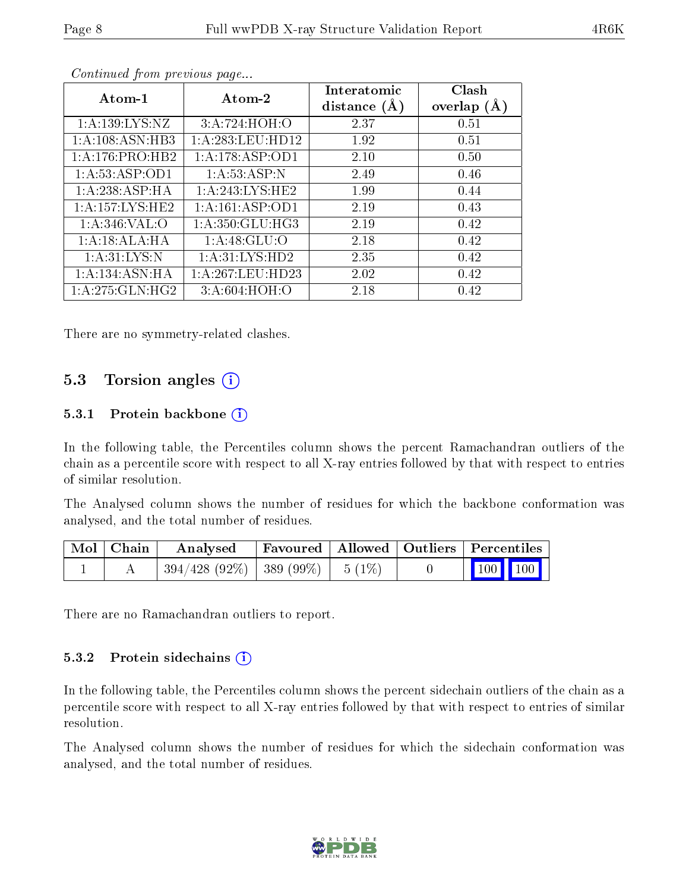| Atom-1              | Atom-2            | Interatomic    | Clash         |
|---------------------|-------------------|----------------|---------------|
|                     |                   | distance $(A)$ | overlap $(A)$ |
| 1: A: 139: LYS: NZ  | 3:A:724:HOH:O     | 2.37           | 0.51          |
| 1:A:108:ASN:HB3     | 1:A:283:LEU:HD12  | 1.92           | 0.51          |
| 1:A:176:PRO:HB2     | 1:A:178:ASP:OD1   | 2.10           | 0.50          |
| 1: A: 53: ASP: OD1  | 1:A:53:ASP:N      | 2.49           | 0.46          |
| 1:A:238:ASP:HA      | 1: A:243:LYS:HE2  | 1.99           | 0.44          |
| 1: A: 157: LYS: HE2 | 1:A:161:ASP:OD1   | 2.19           | 0.43          |
| 1: A:346: VAL:O     | 1: A:350: GLU:HG3 | 2.19           | 0.42          |
| 1:A:18:ALA:HA       | 1: A:48: GLU:O    | 2.18           | 0.42          |
| 1: A:31:LYS:N       | 1:A:31:LYS:HD2    | 2.35           | 0.42          |
| 1:A:134:ASN:HA      | 1:A:267:LEU:HD23  | 2.02           | 0.42          |
| 1:A:275:GLN:HG2     | 3: A:604: HOH:O   | 2.18           | 0.42          |

Continued from previous page...

There are no symmetry-related clashes.

### 5.3 Torsion angles (i)

#### 5.3.1 Protein backbone  $(i)$

In the following table, the Percentiles column shows the percent Ramachandran outliers of the chain as a percentile score with respect to all X-ray entries followed by that with respect to entries of similar resolution.

The Analysed column shows the number of residues for which the backbone conformation was analysed, and the total number of residues.

| Mol   Chain | $\rm\,Analysed$                         | Favoured   Allowed   Outliers   Percentiles |  |                                                                  |
|-------------|-----------------------------------------|---------------------------------------------|--|------------------------------------------------------------------|
|             | $394/428$ (92\%)   389 (99\%)   5 (1\%) |                                             |  | $\left  \begin{array}{c c} \hline 100 & 100 \end{array} \right $ |

There are no Ramachandran outliers to report.

#### 5.3.2 Protein sidechains  $\left( \widehat{\mathbf{i}} \right)$

In the following table, the Percentiles column shows the percent sidechain outliers of the chain as a percentile score with respect to all X-ray entries followed by that with respect to entries of similar resolution.

The Analysed column shows the number of residues for which the sidechain conformation was analysed, and the total number of residues.

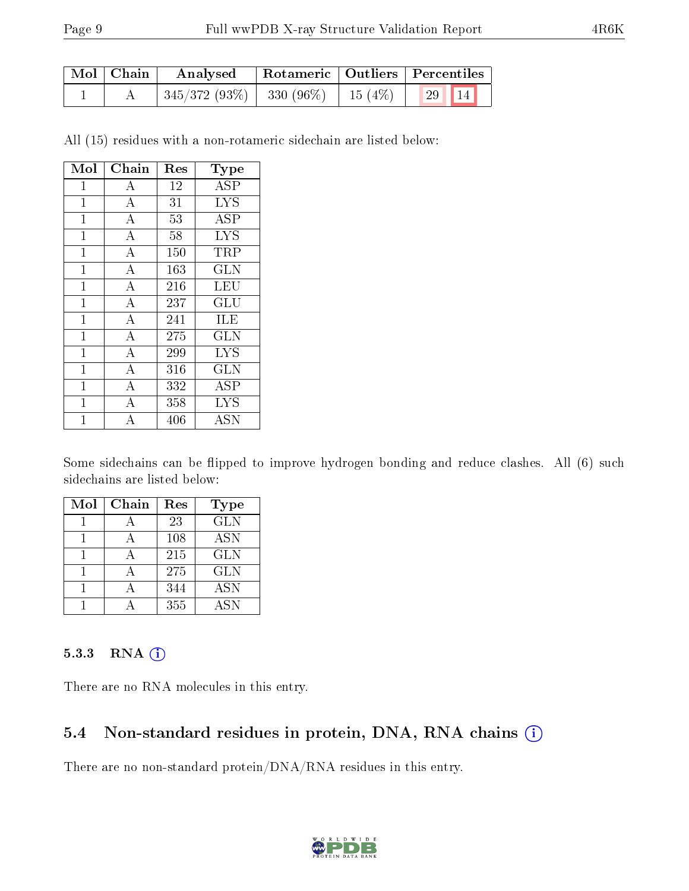| Mol   Chain | Analysed                                         |                          | Rotameric   Outliers   Percentiles |  |  |
|-------------|--------------------------------------------------|--------------------------|------------------------------------|--|--|
|             | $\mid 345/372 \; (93\%) \mid 330 \; (96\%) \mid$ | $\perp$ 15 (4\%) $\perp$ | $\mid$ 29   14                     |  |  |

All (15) residues with a non-rotameric sidechain are listed below:

| Mol          | Chain              | Res | Type                      |
|--------------|--------------------|-----|---------------------------|
| $\mathbf{1}$ | $\boldsymbol{A}$   | 12  | ASP                       |
| $\mathbf{1}$ | $\boldsymbol{A}$   | 31  | <b>LYS</b>                |
| 1            | $\overline{A}$     | 53  | <b>ASP</b>                |
| $\mathbf{1}$ | $\overline{A}$     | 58  | <b>LYS</b>                |
| $\mathbf 1$  | $\bf{A}$           | 150 | TRP                       |
| 1            | $\overline{A}$     | 163 | GLN                       |
| $\mathbf{1}$ | $\overline{A}$     | 216 | LEU                       |
| $\mathbf{1}$ | $\overline{A}$     | 237 | GLU                       |
| 1            | $\overline{A}$     | 241 | ILE                       |
| $\mathbf{1}$ | $\overline{A}$     | 275 | <b>GLN</b>                |
| 1            | $\overline{A}$     | 299 | <b>LYS</b>                |
| 1            | $\overline{A}$     | 316 | GLN                       |
| $\mathbf 1$  | А                  | 332 | ASP                       |
| 1            | $\boldsymbol{A}$   | 358 | <b>LYS</b>                |
| 1            | $\overline{\rm A}$ | 406 | $\overline{\mathrm{ASN}}$ |

Some sidechains can be flipped to improve hydrogen bonding and reduce clashes. All (6) such sidechains are listed below:

| Mol | Chain | Res | <b>Type</b> |
|-----|-------|-----|-------------|
|     |       | 23  | <b>GLN</b>  |
|     |       | 108 | <b>ASN</b>  |
|     |       | 215 | <b>GLN</b>  |
|     |       | 275 | <b>GLN</b>  |
|     |       | 344 | <b>ASN</b>  |
|     |       | 355 | A SN        |

#### 5.3.3 RNA [O](https://www.wwpdb.org/validation/2017/XrayValidationReportHelp#rna)i

There are no RNA molecules in this entry.

### 5.4 Non-standard residues in protein, DNA, RNA chains (i)

There are no non-standard protein/DNA/RNA residues in this entry.

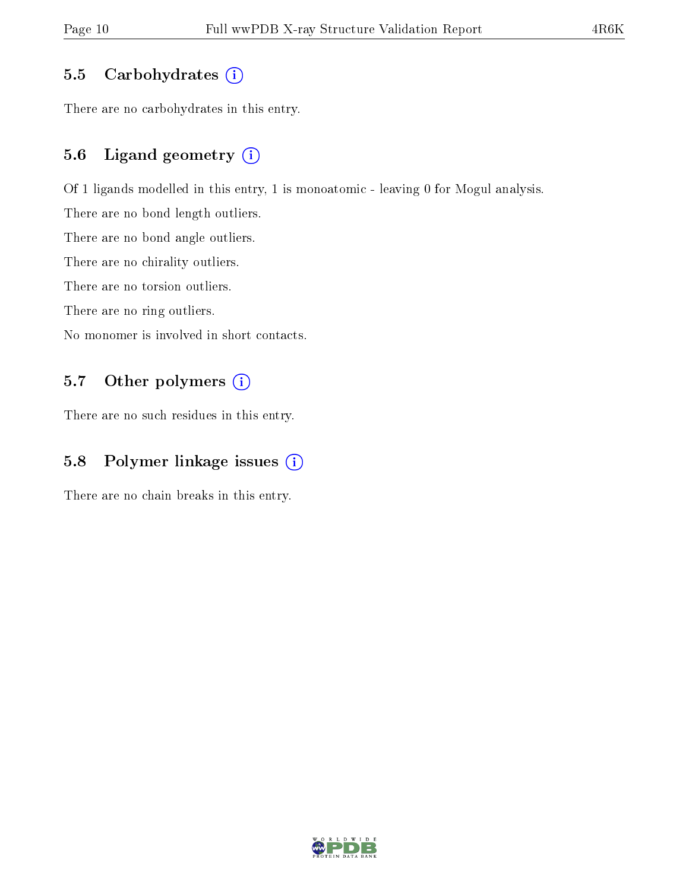#### 5.5 Carbohydrates  $(i)$

There are no carbohydrates in this entry.

### 5.6 Ligand geometry (i)

Of 1 ligands modelled in this entry, 1 is monoatomic - leaving 0 for Mogul analysis.

There are no bond length outliers.

There are no bond angle outliers.

There are no chirality outliers.

There are no torsion outliers.

There are no ring outliers.

No monomer is involved in short contacts.

### 5.7 [O](https://www.wwpdb.org/validation/2017/XrayValidationReportHelp#nonstandard_residues_and_ligands)ther polymers (i)

There are no such residues in this entry.

### 5.8 Polymer linkage issues (i)

There are no chain breaks in this entry.